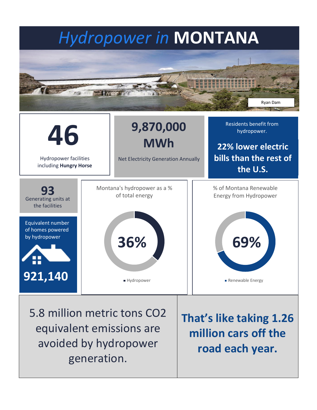# *Hydropower in* **MONTANA** Ryan Dam



5.8 million metric tons CO2 equivalent emissions are avoided by hydropower generation.

**That's like taking 1.26 million cars off the road each year.**